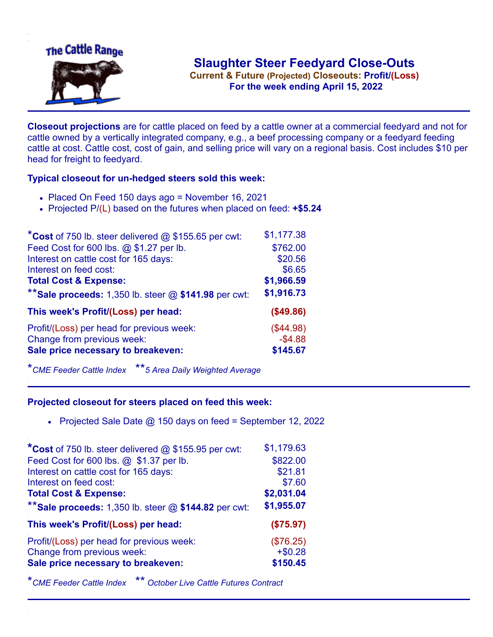

**Current & Future (Projected) Closeouts: Profit/(Loss)** .**For the week ending April 15, 2022**

**Closeout projections** are for cattle placed on feed by a cattle owner at a commercial feedyard and not for cattle owned by a vertically integrated company, e.g., a beef processing company or a feedyard feeding cattle at cost. Cattle cost, cost of gain, and selling price will vary on a regional basis. Cost includes \$10 per head for freight to feedyard.

## **Typical closeout for un-hedged steers sold this week:**

- Placed On Feed 150 days ago = November 16, 2021
- Projected P/(L) based on the futures when placed on feed: **+\$5.24**

| *Cost of 750 lb. steer delivered $@$ \$155.65 per cwt:  | \$1,177.38 |
|---------------------------------------------------------|------------|
| Feed Cost for 600 lbs. @ \$1.27 per lb.                 | \$762.00   |
| Interest on cattle cost for 165 days:                   | \$20.56    |
| Interest on feed cost:                                  | \$6.65     |
| <b>Total Cost &amp; Expense:</b>                        | \$1,966.59 |
| ** Sale proceeds: 1,350 lb. steer $@$ \$141.98 per cwt: | \$1,916.73 |
| This week's Profit/(Loss) per head:                     | (\$49.86)  |
| Profit/(Loss) per head for previous week:               | (\$44.98)  |
| Change from previous week:                              | $-$4.88$   |
| Sale price necessary to breakeven:                      | \$145.67   |

\**CME Feeder Cattle Index* \*\**5 Area Daily Weighted Average*

## **Projected closeout for steers placed on feed this week:**

• Projected Sale Date  $@$  150 days on feed = September 12, 2022

| *Cost of 750 lb. steer delivered @ \$155.95 per cwt:    | \$1,179.63 |
|---------------------------------------------------------|------------|
| Feed Cost for 600 lbs. @ \$1.37 per lb.                 | \$822.00   |
| Interest on cattle cost for 165 days:                   | \$21.81    |
| Interest on feed cost:                                  | \$7.60     |
| <b>Total Cost &amp; Expense:</b>                        | \$2,031.04 |
| ** Sale proceeds: 1,350 lb. steer $@$ \$144.82 per cwt: | \$1,955.07 |
| This week's Profit/(Loss) per head:                     | (\$75.97)  |
| Profit/(Loss) per head for previous week:               | (\$76.25)  |
| Change from previous week:                              | $+ $0.28$  |
| Sale price necessary to breakeven:                      | \$150.45   |

\**CME Feeder Cattle Index* \*\* *October Live Cattle Futures Contract*